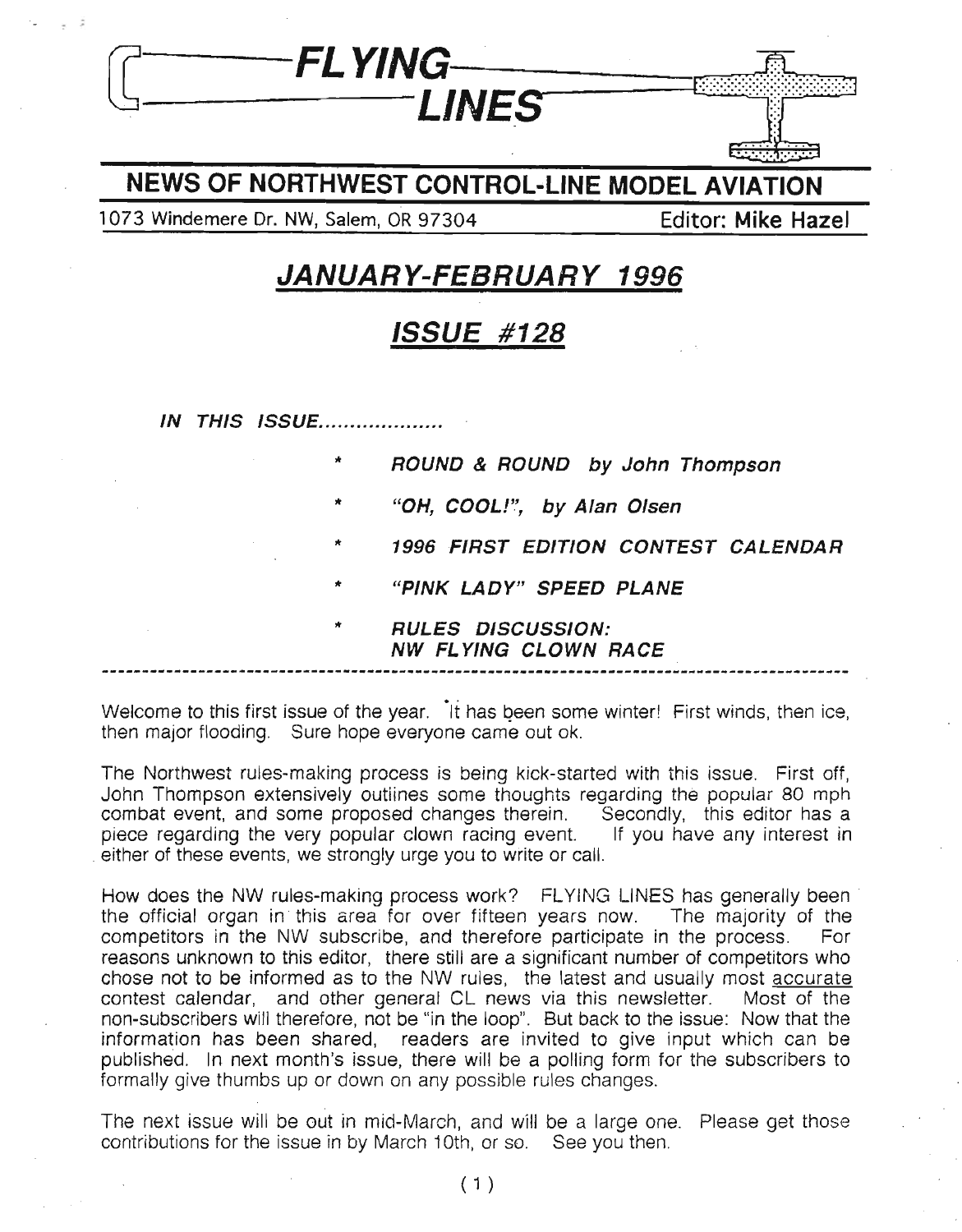

#### NEWS OF NORTHWEST CONTROL-LINE MODEL AVIATION

1073 Windemere Dr. NW, Salem, OR 97304 Ferrari Editor: Mike Hazel

;

## JANUARY-FEBRUARY 1996

### ISSUE #128

**IN THIS ISSUE................** 

'"

'"

- ROUND & ROUND by John Thompson
- '" "OH, COOL!", by Alan Olsen
- '" 1996 FIRST EDITION CONTEST CALENDAR
- '" "PINK LADY" SPEED PLANE
	- RULES DISCUSSION: NW FL YING CLOWN RACE

Welcome to this first issue of the year. It has been some winter! First winds, then ice, then major flooding. Sure hope everyone came out ok.

The Northwest ruies-making process is being kick-started with this issue. First off, John Thompson extensively outiines some thoughts regarding the popular 80 mph combat event, and some proposed changes therein. Secondly, this editor has a piece regarding the very popular clown racing event. If you have any interest in either of these events, we strongly urge you to write or call.

How does the NW rules-making process work? FLYING LINES has generally been the official organ in this area for over fifteen years now. The majority of the competitors in the NW subscribe, and therefore participate in the process. For reasons unknown to this editor, there still are a significant number of competitors who chose not to be informed as to the NW rules, the latest and usually most accurate contest calendar, and other general CL news via this newsletter. Most of the non-subscribers will therefore, not be "in the loop". But back to the issue: Now that the information has been shared, readers are invited to give input which can be published. In next month's issue, there will be a polling form for the subscribers to formally give thumbs up or down on any possible rules changes.

The next issue will be out in mid-March, and will be a large one. Please get those contributions for the issue in by March 10th, or so. See you then.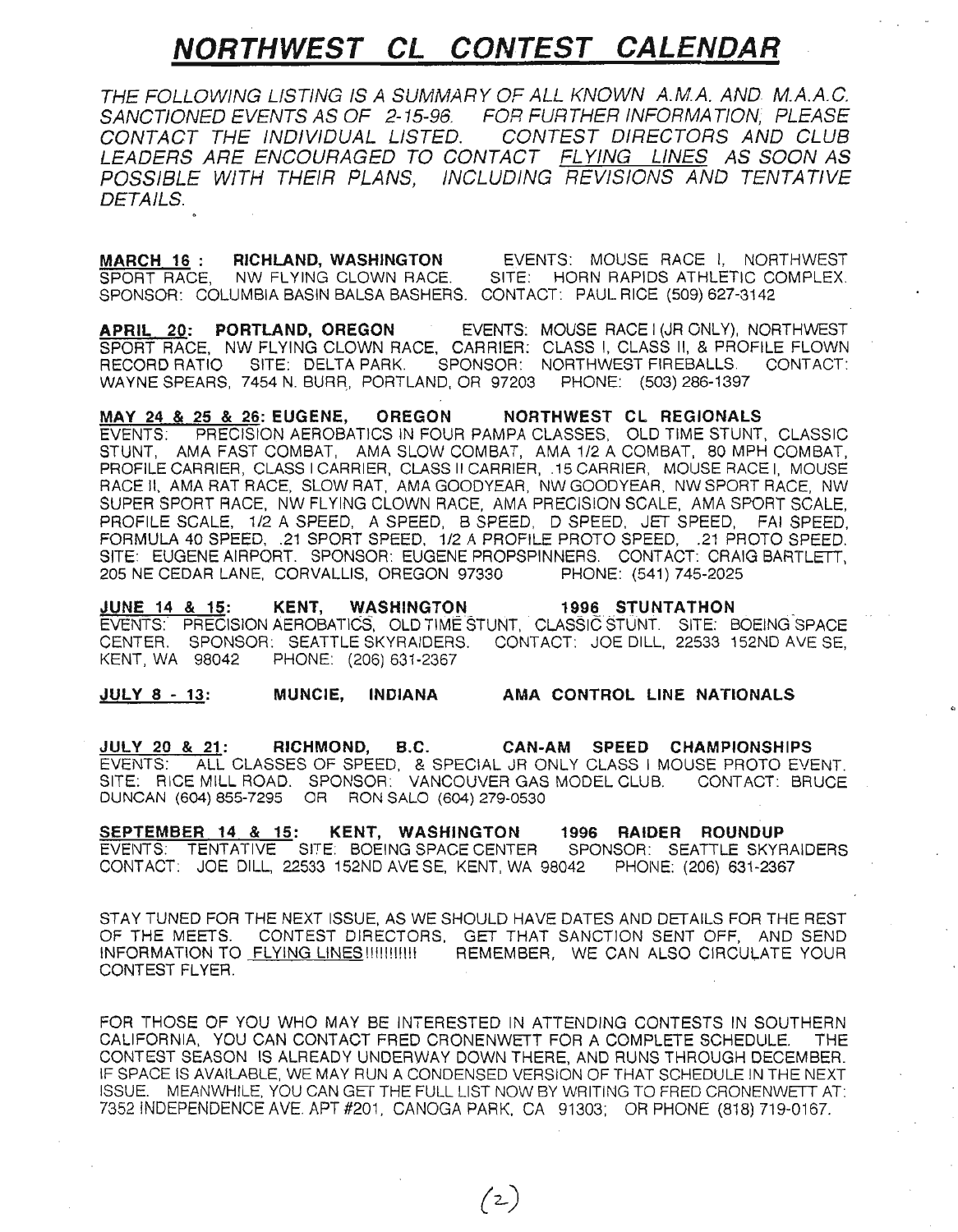# **NORTHWEST CL CONTEST CALENDAR**

THE FOLLOWING LISTING IS A SUMMARY OF ALL KNOWN A.M.A. AND M.A.A.G. SANCTIONED EVENTS AS OF 2-15-96. FOR FURTHER INFORMATION, PLEASE CONTACT THE INDIVIDUAL LISTED. CONTEST DIRECTORS AND CLUB LEADERS ARE ENCOURAGED TO CONTACT FLYING LINES AS SOON AS POSSIBLE WITH THEIR PLANS, INCLUDING REVISIONS AND TENTATIVE DETAILS.

**MARCH 16: RICHLAND, WASHINGTON EVENTS: MOUSE RACE I, NORTHWEST SPORT RACE.** NW FLYING CLOWN RACE. SITE: HORN RAPIDS ATHLETIC COMPLEX. SPORT RACE. NW FLYING CLOWN RACE. SPONSOR: COLUMBIA BASIN BALSA BASHERS. CONTACT: PAUL RICE (509) 627-3142

APRIL 20: PORTLAND, OREGON EVENTS: MOUSE RACE I (JR ONLY), NORTHWEST SPORT RACE, NW FLYING CLOWN RACE, CARRIER: CLASS I, CLASS II, & PROFILE FLOWN<br>RECORD RATIO SITE: DELTA PARK. SPONSOR: NORTHWEST FIREBALLS. CONTACT: SPONSOR: NORTHWEST FIREBALLS. CONTACT: WAYNE SPEARS, 7454 N. BURR, PORTLAND, OR 97203 PHONE: (503) 286-1397

MAY 24 & 25 & 26: EUGENE, OREGON NORTHWEST CL REGIONALS EVENTS: PRECISION AEROBATICS IN FOUR PAMPA CLASSES, OLD TIME STUNT, CLASSIC STUNT, AMA FAST COMBAT, AMA SLOW COMBAT, AMA 1/2 A COMBAT, 80 MPH COMBAT, PROFILE CARRIER, CLASS I CARRIER, CLASS II CARRIER, .15 CARRIER, MOUSE RACE I, MOUSE RACE II, AMA RAT RACE, SLOW RAT, AMA GOODYEAR, NW GOODYEAR, NW SPORT RACE, NW SUPER SPORT RACE, NW FLYING CLOWN RACE, AMA PRECISION SCALE, AMA SPORT SCALE, PROFILE SCALE, 1/2 A SPEED, A SPEED, B SPEED, 0 SPEED, JET SPEED, FAI SPEED, FORMULA 40 SPEED, .21 SPORT SPEED, 1/2 A PROFILE PROTO SPEED, .21 PROTO SPEED. SITE: EUGENE AIRPORT. SPONSOR: EUGENE PROPSPINNERS. CONTACT: CRAIG BARTLETT, 205 NE CEDAR LANE, CORVALLIS, OREGON 97330 PHONE: (541) 745-2025 205 NE CEDAR LANE, CORVALLIS, OREGON 97330

JUNE 14 & 15: KENT, WASHINGTON 19\_9~. STUNTATHON . EVENTS: PRECISION AEROBATICS, OLD TIME STUNT, CLASSIC STUNT. SITE: BOEING-SPACE CENTER. SPONSOR: SEATTLE SKYRAIDERS. CONTACT: JOE DILL, 22533 152ND AVE SE, PHONE: (206) 631-2367

JULY 8 - 13: MUNCIE, INDIANA AMA CONTROL LINE NATIONALS

JULY 20 & 21: RICHMOND, B.C. CAN-AM SPEED CHAMPIONSHIPS EVENTS: ALL CLASSES OF SPEED, & SPECIAL JR ONLY CLASS I MOUSE PROTO EVENT. SITE: RICE MILL ROAD. SPONSOR: VANCOUVER GAS MODEL CLUB. CONTACT: BRUCE DUNCAN (604) 855-7295 OR RON SALO (604) 279-0530

SEPTEMBER 14 & 15: KENT, WASHINGTON 1996 RAIDER ROUNDUP EVENTS: TENTATIVE SITE: BOEING SPACE CENTER SPONSOR: SEATTLE SKYRAIDERS CONTACT: JOE DILL, 22533 152ND AVESE, KENT, WA 98042 PHONE: (206) 631-2367

STAY TUNED FOR THE NEXT ISSUE, AS WE SHOULD HAVE DATES AND DETAILS FOR THE REST OF THE MEETS. CONTEST DIRECTORS, GET THAT SANCTION SENT OFF, AND SEND INFORMATION TO FLYING LINES !!!!!!!!!!!! REMEMBER, WE CAN ALSO CIRCULATE YOUR CONTEST FLYER.

FOR THOSE OF YOU WHO MAY BE INTERESTED IN ATTENDING CONTESTS IN SOUTHERN CALIFORNIA, YOU CAN CONTACT FRED CRONENWETT FOR A COMPLETE SCHEDULE. THE CONTEST SEASON IS ALREADY UNDERWAY DOWN THERE, AND RUNS THROUGH DECEMBER. IF SPACE IS AVAILABLE, WE MAY RUN A CONDENSED VERSION OF THAT SCHEDULE IN THE NEXT ISSUE. MEANWHILE, YOU CAN GET THE FULL LIST NOW BY WRITING TO FRED CRONENWETT AT: 7352 INDEPENDENCE AVE. APT #201, CANOGA PARK, CA 91303; OR PHONE (818) 719-0167.

 $(2)$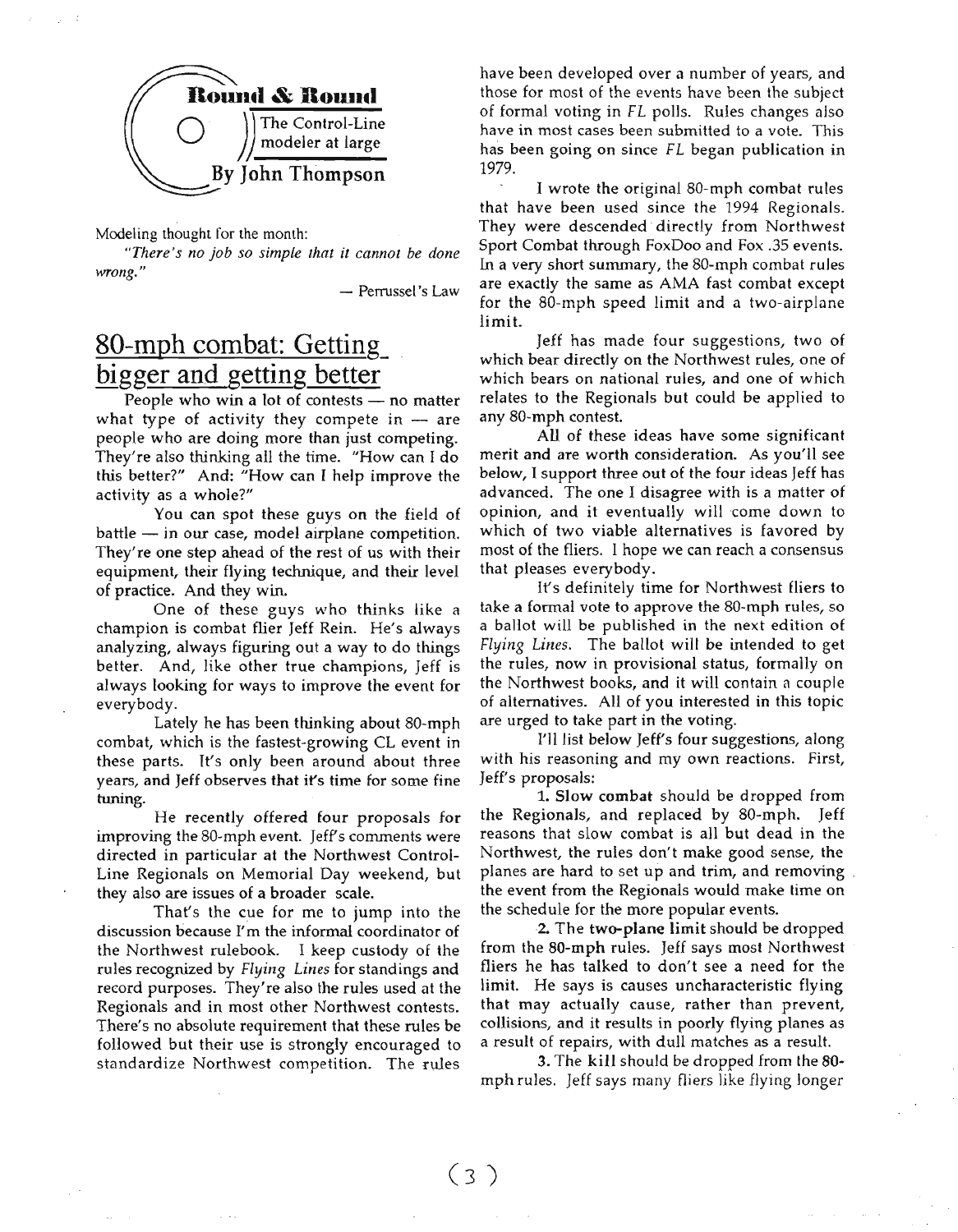

Modeling thought for the month:

*"There's no job so simple that it cannot be done wrong."*

- Perrussel's Law

### **gO-mph combat: Getting\_ bigger and getting better**

People who win a lot of contests  $-$  no matter what type of activity they compete in  $-$  are people who are doing more than just competing. They're also thinking all the time. "How can I do this better?" And: "How can I help improve the activity as a whole?"

You can spot these guys on the field of  $b$ attle  $-$  in our case, model airplane competition. They're one step ahead of the rest of us with their equipment, their flying technique, and their level of practice. And they win.

One of these guys who thinks like a champion is combat flier Jeff Rein. He's always analyzing, always figuring out a way to do things better. And, like other true champions, Jeff is always looking for ways to improve the event for everybody.

Lately he has been thinking about SO-mph combat, which is the fastest-growing CL event in these parts. It's only been around about three years, and Jeff observes that it's time for some fine tuning.

He recently offered four proposals for improving the 80-mph event. Jeff's comments were directed in particular at the Northwest Control-Line Regionals on Memorial Day weekend, but they also are issues of a broader scale.

That's the cue for me to jump into the discussion because I'm the informal coordinator of the Northwest rulebook. I keep custody of the rules recognized by *Flying Lines* for standings and record purposes. They're also the rules used at the Regionals and in most other Northwest contests. There's no absolute requirement that these rules be followed but their use is strongly encouraged to standardize Northwest competition. The rules

have been developed over a number of years, and those for most of the events have been the subject of formal voting in *FL* polls. Rules changes also have in most cases been submitted to a vote. This has been going on since *FL* began publication in 1979.

I wrote the original SO-mph combat rules that have been used since the 1994 Regionals. They were descended directly from Northwest Sport Combat through FoxDoo and Fox .35 events. In a very short summary, the 80-mph combat rules are exactly the same as AMA fast combat except for the SO-mph speed limit and a two-airplane limit.

Jeff has made four suggestions, two of which bear directly on the Northwest rules, one of which bears on national rules, and one of which relates to the Regionals but could be applied to any SO-mph contest.

All of these ideas have some significant merit and are worth consideration. As you'll see below, I support three out of the four ideas Jeff has advanced. The one I disagree with is a matter of opinion, and it eventually will come down to which of two viable alternatives is favored by most of the fliers. I hope we can reach a consensus that pleases everybody.

It's definitely time for Northwest fliers to take a formal vote to approve the 80-mph rules, so a ballot will be published in the next edition of *Flying Lines.* The ballot will be intended to get the rules, now in provisional status, formally on the Northwest books, and it will contain a couple of alternatives. All of you interested in this topic are urged to take part in the voting.

I'll list below Jeff's four suggestions, along with his reasoning and my own reactions. First, Jeff's proposals:

1. Slow combat should be dropped from the Regionals, and replaced by SO-mph. Jeff reasons that slow combat is all but dead in the Northwest, the rules don't make good sense, the planes are hard to set up and trim, and removing. the event from the Regionals would make lime on the schedule for the more popular events.

2. The two-plane limit should be dropped from the 80-mph rules. Jeff says most Northwest fliers he has talked to don't see a need for the limit. He says is causes uncharacteristic flying that may actually cause, rather than prevent, collisions, and it results in poorly flying planes as a result of repairs, with dull matches as a result.

3. The kill should be dropped from the 80 mph rules. Jeff says many fliers like flying longer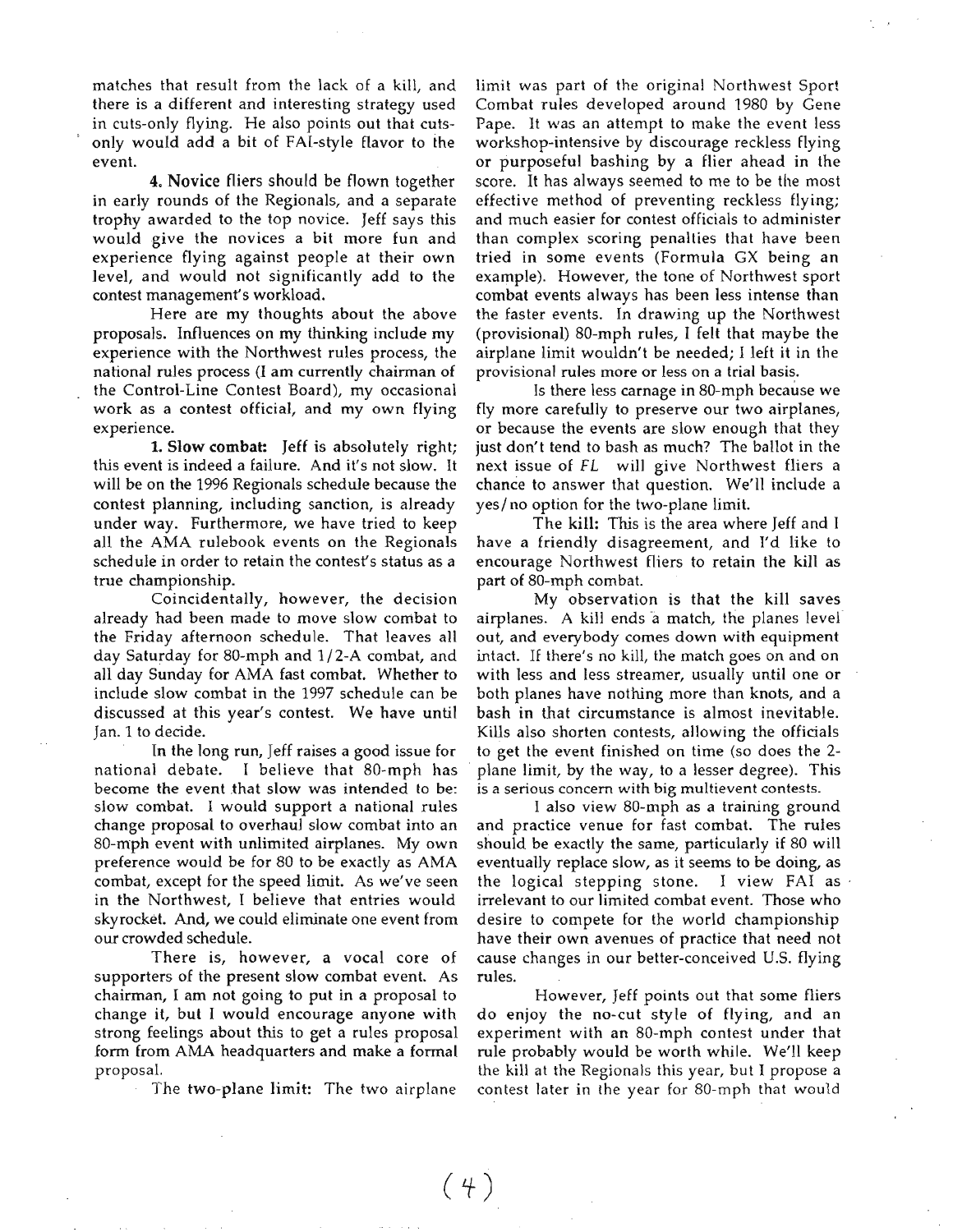matches that result from the lack of a kill, and there is a different and interesting strategy used in cuts-only flying. He also points out that cutsonly would add a bit of FAI-style flavor to the event.

4. Novice fliers should be flown together in early rounds of the Regionals, and a separate trophy awarded to the top novice. Jeff says this would give the novices a bit more fun and experience flying against people at their own level, and would not significantly add to the contest management's workload.

Here are my thoughts about the above proposals. Influences on my thinking include my experience with the Northwest rules process, the national rules process (I am currently chairman of the Control-Line Contest Board), my occasional work as a contest official, and my own flying experience.

1. Slow combat: Jeff is absolutely right; this event is indeed a failure. And it's not slow. It will be on the 1996 Regionals schedule because the contest planning, including sanction, is already under way. Furthermore, we have tried to keep all the AMA rulebook events on the Regionals schedule in order to retain the contest's status as a true championship.

Coincidentally, however, the decision already had been made to move slow combat to the Friday afternoon schedule. That leaves all day Saturday for 80-mph and 1/2-A combat, and all day Sunday for AMA fast combat. Whether to include slow combat in the 1997 schedule can be discussed at this year's contest. We have until Jan. 1 to decide.

In the long run, Jeff raises a good issue for national debate. I believe that 80-mph has become the event that slow was intended to be: slow combat. I would support a national rules change proposal to overhaul slow combat into an SO-mph event with unlimited airplanes. My own preference would be for 80 to be exactly as AMA combat, except for the speed limit. As we've seen in the Northwest, I believe that entries would skyrocket. And, we could eliminate one event from our crowded schedule.

There is, however, a vocal core of supporters of the present slow combat event. As chairman, I am not going to put in a proposal to change it, but I would encourage anyone with strong feelings about this to get a rules proposal form from AMA headquarters and make a formal proposal.

The two-plane limit: The two airplane

limit was part of the original Northwest Sport Combat rules developed around 1980 by Gene Pape. It was an attempt to make the event less workshop-intensive by discourage reckless flying or purposeful bashing by a flier ahead in the score. It has always seemed to me to be the most effective method of preventing reckless flying; and much easier for contest officials to administer than complex scoring penalties that have been tried in some events (Formula GX being an example). However, the tone of Northwest sport combat events always has been less intense than the faster events. In drawing up the Northwest (provisional) 80-mph rules, I felt that maybe the airplane limit wouldn't be needed; I left it in the provisional rules more or less on a trial basis.

Is there less carnage in SO-mph because we fly more carefully to preserve our two airplanes, or because the events are slow enough that they just don't tend to bash as much? The ballot in the next issue of FL will give Northwest fliers a chance to answer that question. We'll include a yes/ no option for the two-plane limit.

The kill: This is the area where Jeff and I have a friendly disagreement, and 1'd like to encourage Northwest fliers to retain the kill as part of 80-mph combat.

My observation is that the kill saves airplanes. A kill ends a match, the planes level out, and everybody comes down with equipment intact. If there's no kill, the match goes on and on with less and less streamer, usually until one or both planes have nothing more than knots, and a bash in that circumstance is almost inevitable. Kills also shorten contests, allowing the officials to get the event finished on time (so does the 2 plane limit, by the way, to a lesser degree). This is a serious concern with big multievent contests\_

I also view 80-mph as a training ground and practice venue for fast combat. The rules should be exactly the same, particularly if 80 will eventually replace slow, as it seems to be doing, as the logical stepping stone. I view FAI as irrelevant to our limited combat event. Those who desire to compete for the world championship have their own avenues of practice that need not cause changes in our better-conceived U.S. flying rules.

However, Jeff points out that some fliers do enjoy the no-cut style of flying, and an experiment with an 80-mph contest under that rule probably would be worth while. We'll keep the kill at the Regionals this year, but I propose a contest later in the year for 80-mph that would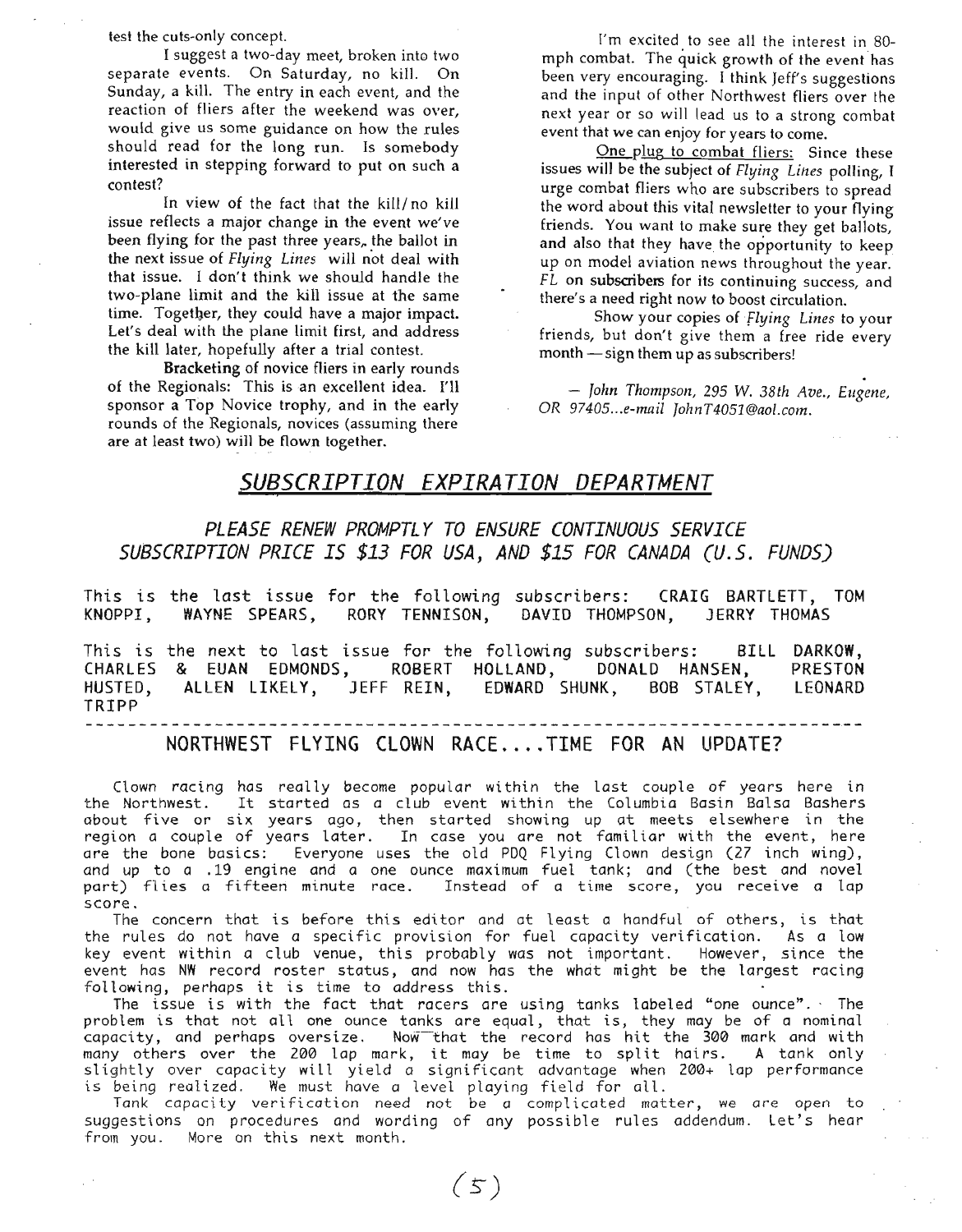test the cuts-only concept.

I suggest a two-day meet, broken into two separate events. On Saturday, no kill. On Sunday, a kill. The entry in each event, and the reaction of fliers after the weekend was over, would give us some guidance on how the rules should read for the long run. Is somebody interested in stepping forward to put on such a contest?

In view of the fact that the kill/ no kill issue reflects a major change in the event we've been flying for the past three years, the ballot in the next issue of *Flying Lines* will not deal with that issue. I don't think we should handle the two-plane limit and the kill issue at the same time. Together, they could have a major impact. Let's deal with the plane limit first, and address the kill later, hopefully after a trial contest.

Bracketing of novice fliers in early rounds of the Regionals: This is an excellent idea. I'll sponsor a Top Novice trophy, and in the early rounds of the Regionals, novices (assuming there are at least two) will be flown together.

I'm excited to see all the interest in 80 mph combat. The quick growth of the event has been very encouraging. I think Jeff's suggestions and the input of other Northwest fliers over the next year or so will lead us to a strong combat event that we can enjoy for years to come.

One plug to combat fliers: Since these issues will be the subject of *Flying Lines* polling, T urge combat fliers who are subscribers to spread the word about this vital newsletter to your flying friends. You want to make sure they get ballots, and also that they have the opportunity to keep up on model aviation news throughout the year. *FL* on subscribers for its continuing success, and there's a need right now to boost circulation.

Show your copies of *flying Lines* to your friends, but don't give them a free ride every month - sign them up as subscribers!

. *- John Thompson,* <sup>295</sup> W. *38th Ave., Eugene,* OR *97405...e-mail JoIll1T4051@aol.com.*

#### *SUBSCRIPTION EXPIRATION DEPARTMENT*

*PLEASE RENEW PROMPTL Y TO ENSURE CONTINUOUS SERVICE SUBSCRIPTION PRICE IS* \$13 *FOR USA, AND* \$15 *FOR CANADA (U.S. FUNDS)*

This is the last issue for the following subscribers: CRAIG BARTLETT, TOM KNOPP!, WAYNE SPEARS, RORY TENNISON, DAVID THOMPSON, JERRY THOMAS

This is the next to last issue for the following subscribers: BILL CHARLES & EUAN EDMONDS, HUSTED, TRIPP ROBERT HOLLAND, DONALD HANSEN, ALLEN LIKELY, JEFF REIN, EDWARD SHUNK, BOB STALEY, BILL DARKOW, PRESTON LEONARD

NORTHWEST FLYING CLOWN RACE....TIME FOR AN UPDATE?

Clown racing has really become popular wi thin the last couple of years here in the Northwest. It started as a club event within the Columbia Basin Balsa Bashers about five or si.x years ago, then started showing up at meets elsewhere in the region a couple of years later. In case you *are* not familiar with the event, here are the bone basics: Everyone uses the old PDQ Flying Clown design (27 inch wing), and up to a .19 engine and a one ounce maximum fuel tank; and (the best and novel part) flies a fifteen minute race. Instead of a time score, you receive a lap score.

The concern that is before this editor and at least a handful of others, is that the rules do not have a specific provision for fuel capacity verification. As a low key event within a dub venue, this probably was not important. However, since the event has NW record roster status, and now has the what might be the largest racing following, perhaps it is time to address this.

The issue is with the fact that racers are using tanks labeled "one ounce". The problem is that not all one ounce tanks are equal, that is, they may be of a nominal capacity, and perhaps oversize. Now-that the record has hit the 300 mark and with many others over the <sup>200</sup> lap mark, it may be time to split hairs. <sup>A</sup> tank only slightly over capacity will yield a significant advantage when 200+ lap performance is being realized. We must have a level playing field for all.

Tank capacity *verification* need not be *a* complicated matter, we *are* open to suggestions on procedures and wording of any possible rules addendum. Let's hear from you. More on this next month.

 $(5)$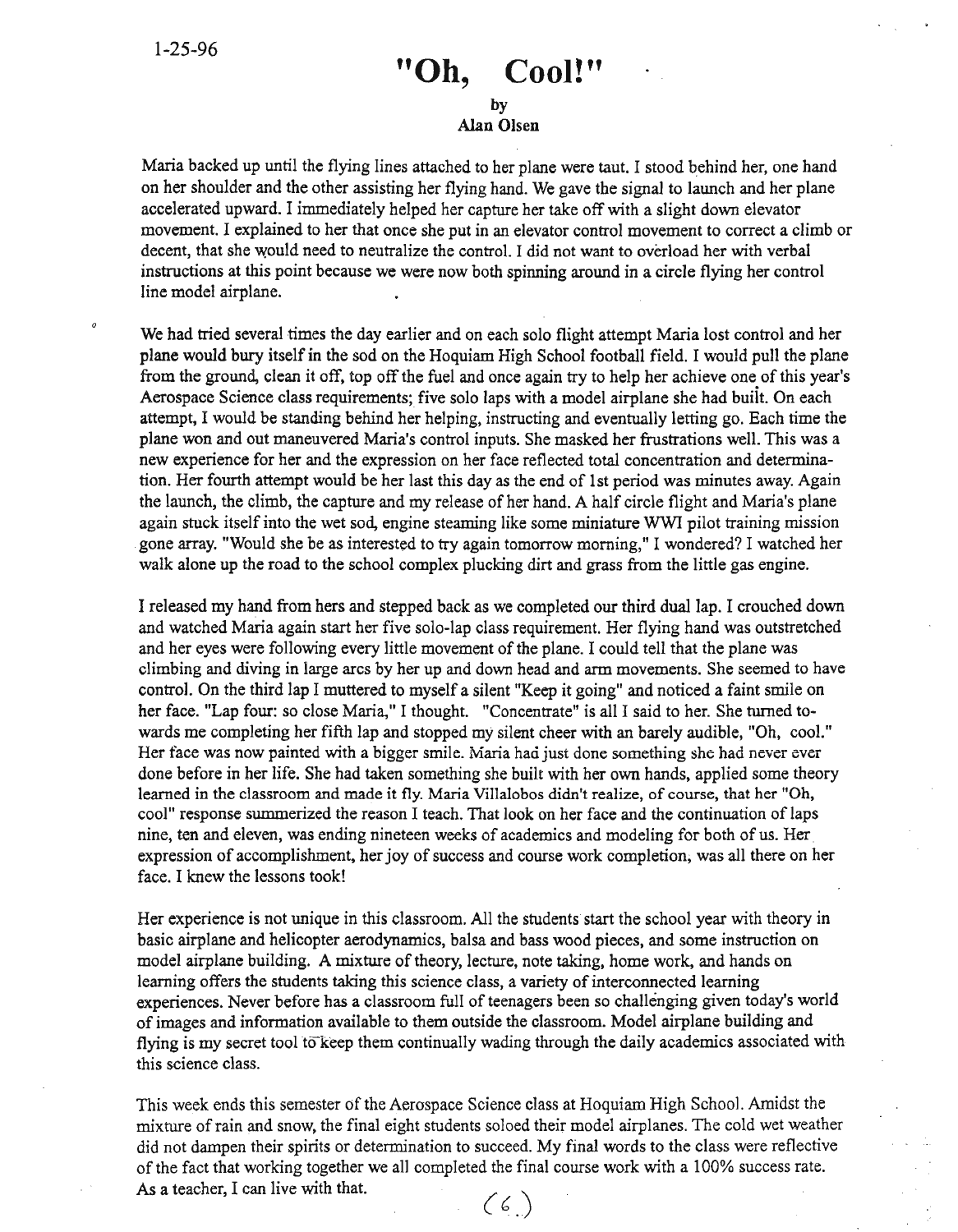# **"Oh, Cool!"**

#### by Alan Olsen

Maria backed up until the flying lines attached to her plane were taut. I stood behind her, one hand on her shoulder and the other assisting her flying hand. We gave the signal to launch and her plane accelerated upward. I immediately helped her capture her take off with a slight down elevator movement. I explained to her that once she put in an elevator control movement to correct a climb or decent, that she would need to neutralize the control. I did not want to overload her with verbal instructions at this point because we were now both spinning around in a circle flying her control line model airplane.

We had tried several times the day earlier and on each solo flight attempt Maria lost control and her plane would bury itselfin the sod on the Hoquiam High School football field. I would pull the plane from the ground, clean it off, top off the fuel and once again try to help her achieve one of this year's Aerospace Science class requirements; five solo laps with a model airplane she had buiit. On each attempt, I would be standing behind her helping, instructing and eventually letting go. Each time the plane won and out maneuvered Maria's control inputs. She masked her frustrations well. This was a new experience for her and the expression on her face reflected total concentration and determination. Her fourth attempt would be her last this day as the end of 1st period was minutes away. Again the launch, the climb, the capture and my release of her hand. A half circle flight and Maria's plane again stuck itself into the wet sod, engine steaming like some miniature WWI pilot training mission gone array. "Would she be as interested to try again tomorrow morning," I wondered? I watched her walk alone up the road to the school complex plucking dirt and grass from the little gas engine.

I released my hand from hers and stepped back as we completed our third dual lap. I crouched down and watched Maria again start her five solo-lap class requirement. Her flying hand was outstretched and her eyes were following every little movement of the plane. I could tell that the plane was climbing and diving in large arcs by her up and down head and arm movements. She seemed to have control. On the third lap I muttered to myself a silent "Keep it going" and noticed a faint smile on her face. "Lap four: so close Maria," I thought. "Concentrate" is all I said to her. She turned towards me completing her fifth lap and stopped my silent cheer with an barely audible, "Oh, cool." Her face was now painted with a bigger smile. Maria had just done something she had never ever done before in her life. She had taken something she built with her own hands, applied some theory learned in the classroom and made it fly. Maria Villalobos didn't realize, of course, that her "Oh, cool" response summerized the reason I teach. That look on her face and the continuation of laps nine, ten and eleven, was ending nineteen weeks of academics and modeling for both of us. Her. expression of accomplishment, her joy of success and course work completion, was all there on her face. I knew the lessons took!

Her experience is not unique in this classroom. All the students start the school year with theory in basic airplane and helicopter aerodynamics, balsa and bass wood pieces, and some instruction on model airplane building. A mixture of theory, lecture, note taking, home work, and hands on learning offers the students taking this science class, a variety of interconnected learning experiences. Never before has a classroom full of teenagers been so challenging given today's world of images and information available to them outside the classroom. Model airplane building and flying is my secret tool to keep them continually wading through the daily academics associated with this science class.

This week ends this semester of the Aerospace Science class at Hoquiam High School. Amidst the mixture ofrain and snow, the final eight students soloed their model airplanes. The cold wet weather did not dampen their spirits or determination to succeed. My final words to the class were reflective ofthe fact that working together we all completed the final course work with a 100% success rate. As a teacher, I can live with that. $(6)$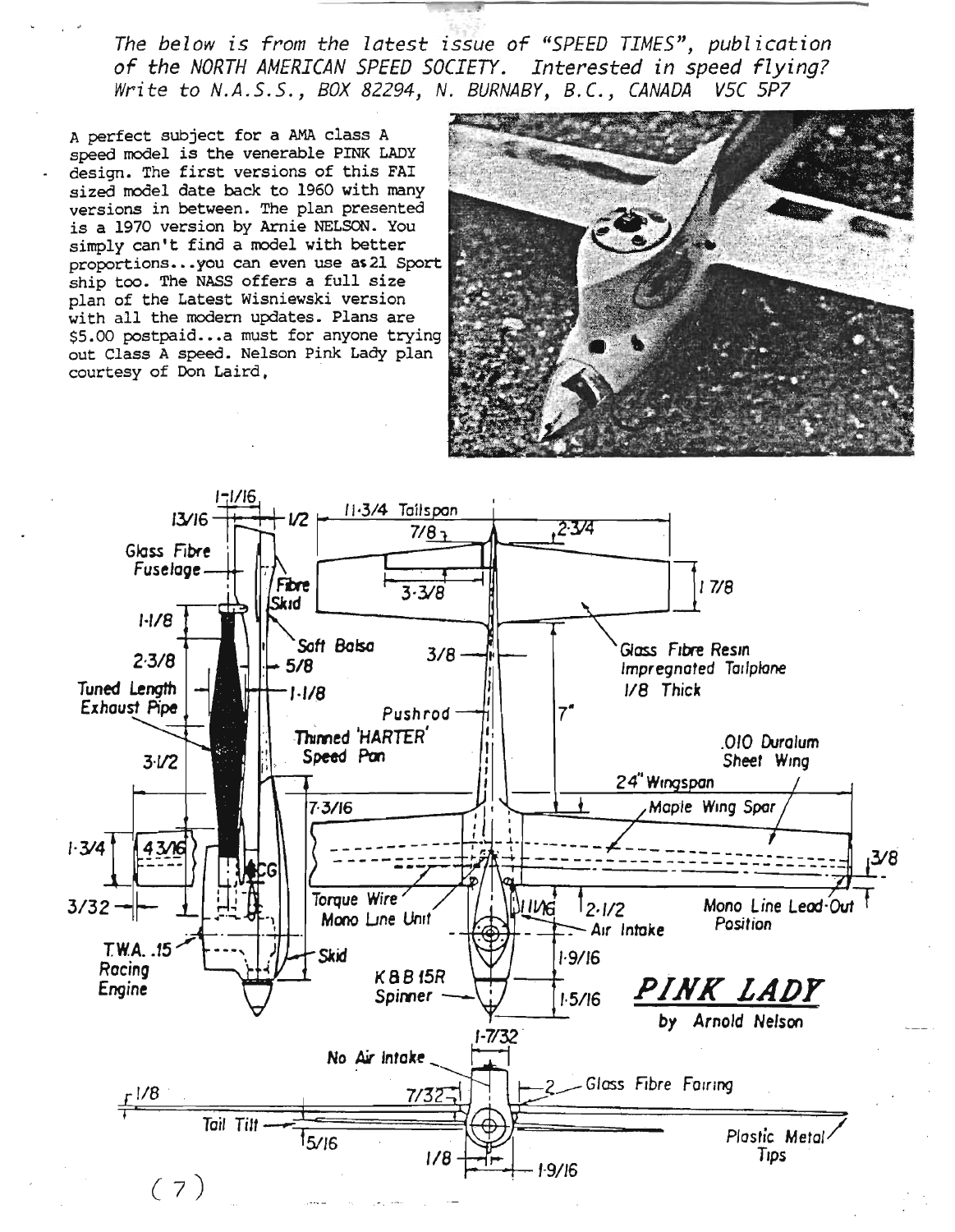The below is from the latest issue of "SPEED TIMES", publication of the *NORTH AMERICAN SPEED SOCIETY.* Interested in speed flying? Write to N.A.S.S., BOX 82294, N. BURNABY, B.C., CANADA V5C 5P7

A perfect subject for a AMA class A speed model is the venerable PINK LADY design. The first versions of this FAI sized model date back to 1960 with many versions in between. The plan presented is a 1970 version by Arnie NELSON. You simply can't find a model with better proportions...you can even use a 21 Sport ship too. The NASS offers a full size plan of the Latest Wisniewski version with all the modern updates. Plans are \$5.00 postpaid...a must for anyone trying out Class A speed. Nelson Pink Lady plan courtesy of Don Laird.